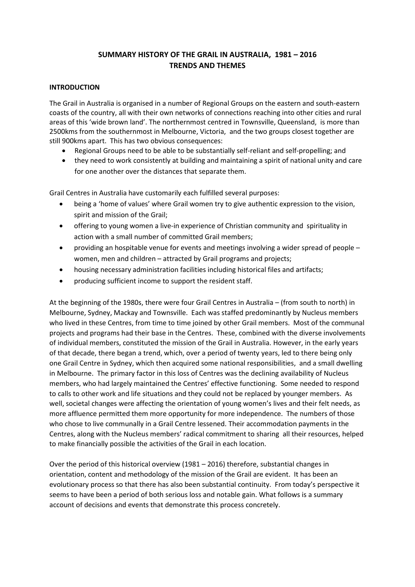# **SUMMARY HISTORY OF THE GRAIL IN AUSTRALIA, 1981 – 2016 TRENDS AND THEMES**

### **INTRODUCTION**

The Grail in Australia is organised in a number of Regional Groups on the eastern and south-eastern coasts of the country, all with their own networks of connections reaching into other cities and rural areas of this 'wide brown land'. The northernmost centred in Townsville, Queensland, is more than 2500kms from the southernmost in Melbourne, Victoria, and the two groups closest together are still 900kms apart. This has two obvious consequences:

- Regional Groups need to be able to be substantially self-reliant and self-propelling; and
- they need to work consistently at building and maintaining a spirit of national unity and care for one another over the distances that separate them.

Grail Centres in Australia have customarily each fulfilled several purposes:

- being a 'home of values' where Grail women try to give authentic expression to the vision, spirit and mission of the Grail;
- offering to young women a live-in experience of Christian community and spirituality in action with a small number of committed Grail members;
- providing an hospitable venue for events and meetings involving a wider spread of people women, men and children – attracted by Grail programs and projects;
- housing necessary administration facilities including historical files and artifacts;
- producing sufficient income to support the resident staff.

At the beginning of the 1980s, there were four Grail Centres in Australia – (from south to north) in Melbourne, Sydney, Mackay and Townsville. Each was staffed predominantly by Nucleus members who lived in these Centres, from time to time joined by other Grail members. Most of the communal projects and programs had their base in the Centres. These, combined with the diverse involvements of individual members, constituted the mission of the Grail in Australia. However, in the early years of that decade, there began a trend, which, over a period of twenty years, led to there being only one Grail Centre in Sydney, which then acquired some national responsibilities, and a small dwelling in Melbourne. The primary factor in this loss of Centres was the declining availability of Nucleus members, who had largely maintained the Centres' effective functioning. Some needed to respond to calls to other work and life situations and they could not be replaced by younger members. As well, societal changes were affecting the orientation of young women's lives and their felt needs, as more affluence permitted them more opportunity for more independence. The numbers of those who chose to live communally in a Grail Centre lessened. Their accommodation payments in the Centres, along with the Nucleus members' radical commitment to sharing all their resources, helped to make financially possible the activities of the Grail in each location.

Over the period of this historical overview (1981 – 2016) therefore, substantial changes in orientation, content and methodology of the mission of the Grail are evident. It has been an evolutionary process so that there has also been substantial continuity. From today's perspective it seems to have been a period of both serious loss and notable gain. What follows is a summary account of decisions and events that demonstrate this process concretely.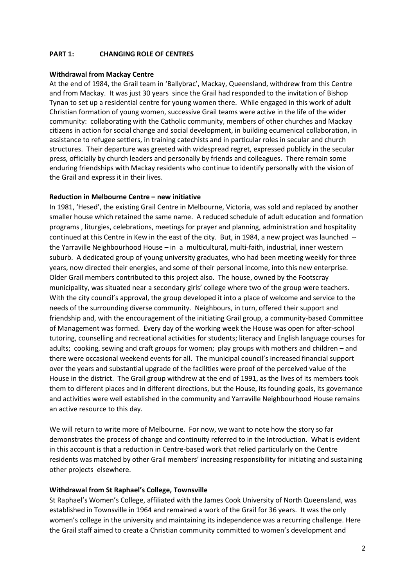# **PART 1: CHANGING ROLE OF CENTRES**

#### **Withdrawal from Mackay Centre**

At the end of 1984, the Grail team in 'Ballybrac', Mackay, Queensland, withdrew from this Centre and from Mackay. It was just 30 years since the Grail had responded to the invitation of Bishop Tynan to set up a residential centre for young women there. While engaged in this work of adult Christian formation of young women, successive Grail teams were active in the life of the wider community: collaborating with the Catholic community, members of other churches and Mackay citizens in action for social change and social development, in building ecumenical collaboration, in assistance to refugee settlers, in training catechists and in particular roles in secular and church structures. Their departure was greeted with widespread regret, expressed publicly in the secular press, officially by church leaders and personally by friends and colleagues. There remain some enduring friendships with Mackay residents who continue to identify personally with the vision of the Grail and express it in their lives.

#### **Reduction in Melbourne Centre – new initiative**

In 1981, 'Hesed', the existing Grail Centre in Melbourne, Victoria, was sold and replaced by another smaller house which retained the same name. A reduced schedule of adult education and formation programs , liturgies, celebrations, meetings for prayer and planning, administration and hospitality continued at this Centre in Kew in the east of the city. But, in 1984, a new project was launched - the Yarraville Neighbourhood House – in a multicultural, multi-faith, industrial, inner western suburb. A dedicated group of young university graduates, who had been meeting weekly for three years, now directed their energies, and some of their personal income, into this new enterprise. Older Grail members contributed to this project also. The house, owned by the Footscray municipality, was situated near a secondary girls' college where two of the group were teachers. With the city council's approval, the group developed it into a place of welcome and service to the needs of the surrounding diverse community. Neighbours, in turn, offered their support and friendship and, with the encouragement of the initiating Grail group, a community-based Committee of Management was formed. Every day of the working week the House was open for after-school tutoring, counselling and recreational activities for students; literacy and English language courses for adults; cooking, sewing and craft groups for women; play groups with mothers and children – and there were occasional weekend events for all. The municipal council's increased financial support over the years and substantial upgrade of the facilities were proof of the perceived value of the House in the district. The Grail group withdrew at the end of 1991, as the lives of its members took them to different places and in different directions, but the House, its founding goals, its governance and activities were well established in the community and Yarraville Neighbourhood House remains an active resource to this day.

We will return to write more of Melbourne. For now, we want to note how the story so far demonstrates the process of change and continuity referred to in the Introduction. What is evident in this account is that a reduction in Centre-based work that relied particularly on the Centre residents was matched by other Grail members' increasing responsibility for initiating and sustaining other projects elsewhere.

#### **Withdrawal from St Raphael's College, Townsville**

St Raphael's Women's College, affiliated with the James Cook University of North Queensland, was established in Townsville in 1964 and remained a work of the Grail for 36 years. It was the only women's college in the university and maintaining its independence was a recurring challenge. Here the Grail staff aimed to create a Christian community committed to women's development and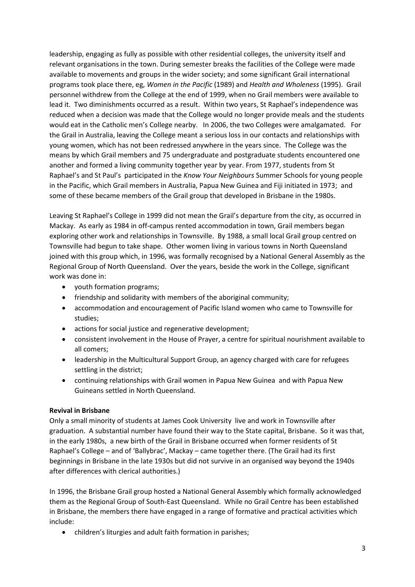leadership, engaging as fully as possible with other residential colleges, the university itself and relevant organisations in the town. During semester breaks the facilities of the College were made available to movements and groups in the wider society; and some significant Grail international programs took place there, eg, *Women in the Pacific* (1989) and *Health and Wholeness* (1995). Grail personnel withdrew from the College at the end of 1999, when no Grail members were available to lead it. Two diminishments occurred as a result. Within two years, St Raphael's independence was reduced when a decision was made that the College would no longer provide meals and the students would eat in the Catholic men's College nearby. In 2006, the two Colleges were amalgamated. For the Grail in Australia, leaving the College meant a serious loss in our contacts and relationships with young women, which has not been redressed anywhere in the years since. The College was the means by which Grail members and 75 undergraduate and postgraduate students encountered one another and formed a living community together year by year. From 1977, students from St Raphael's and St Paul's participated in the *Know Your Neighbours* Summer Schools for young people in the Pacific, which Grail members in Australia, Papua New Guinea and Fiji initiated in 1973; and some of these became members of the Grail group that developed in Brisbane in the 1980s.

Leaving St Raphael's College in 1999 did not mean the Grail's departure from the city, as occurred in Mackay. As early as 1984 in off-campus rented accommodation in town, Grail members began exploring other work and relationships in Townsville. By 1988, a small local Grail group centred on Townsville had begun to take shape. Other women living in various towns in North Queensland joined with this group which, in 1996, was formally recognised by a National General Assembly as the Regional Group of North Queensland. Over the years, beside the work in the College, significant work was done in:

- youth formation programs;
- friendship and solidarity with members of the aboriginal community;
- accommodation and encouragement of Pacific Island women who came to Townsville for studies;
- actions for social justice and regenerative development;
- consistent involvement in the House of Prayer, a centre for spiritual nourishment available to all comers;
- leadership in the Multicultural Support Group, an agency charged with care for refugees settling in the district;
- continuing relationships with Grail women in Papua New Guinea and with Papua New Guineans settled in North Queensland.

# **Revival in Brisbane**

Only a small minority of students at James Cook University live and work in Townsville after graduation. A substantial number have found their way to the State capital, Brisbane. So it was that, in the early 1980s, a new birth of the Grail in Brisbane occurred when former residents of St Raphael's College – and of 'Ballybrac', Mackay – came together there. (The Grail had its first beginnings in Brisbane in the late 1930s but did not survive in an organised way beyond the 1940s after differences with clerical authorities.)

In 1996, the Brisbane Grail group hosted a National General Assembly which formally acknowledged them as the Regional Group of South-East Queensland. While no Grail Centre has been established in Brisbane, the members there have engaged in a range of formative and practical activities which include:

children's liturgies and adult faith formation in parishes;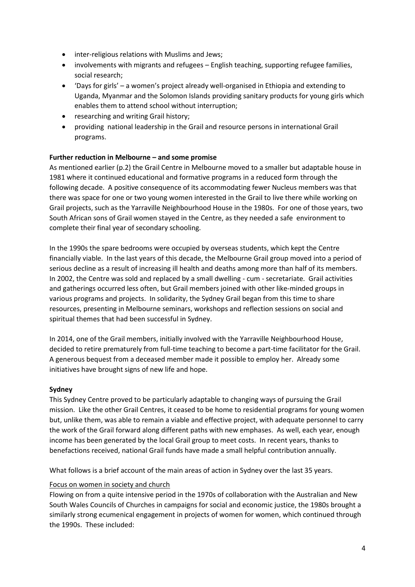- inter-religious relations with Muslims and Jews;
- involvements with migrants and refugees English teaching, supporting refugee families, social research;
- 'Days for girls' a women's project already well-organised in Ethiopia and extending to Uganda, Myanmar and the Solomon Islands providing sanitary products for young girls which enables them to attend school without interruption;
- researching and writing Grail history;
- providing national leadership in the Grail and resource persons in international Grail programs.

# **Further reduction in Melbourne – and some promise**

As mentioned earlier (p.2) the Grail Centre in Melbourne moved to a smaller but adaptable house in 1981 where it continued educational and formative programs in a reduced form through the following decade. A positive consequence of its accommodating fewer Nucleus members was that there was space for one or two young women interested in the Grail to live there while working on Grail projects, such as the Yarraville Neighbourhood House in the 1980s. For one of those years, two South African sons of Grail women stayed in the Centre, as they needed a safe environment to complete their final year of secondary schooling.

In the 1990s the spare bedrooms were occupied by overseas students, which kept the Centre financially viable. In the last years of this decade, the Melbourne Grail group moved into a period of serious decline as a result of increasing ill health and deaths among more than half of its members. In 2002, the Centre was sold and replaced by a small dwelling - cum - secretariate. Grail activities and gatherings occurred less often, but Grail members joined with other like-minded groups in various programs and projects. In solidarity, the Sydney Grail began from this time to share resources, presenting in Melbourne seminars, workshops and reflection sessions on social and spiritual themes that had been successful in Sydney.

In 2014, one of the Grail members, initially involved with the Yarraville Neighbourhood House, decided to retire prematurely from full-time teaching to become a part-time facilitator for the Grail. A generous bequest from a deceased member made it possible to employ her. Already some initiatives have brought signs of new life and hope.

# **Sydney**

This Sydney Centre proved to be particularly adaptable to changing ways of pursuing the Grail mission. Like the other Grail Centres, it ceased to be home to residential programs for young women but, unlike them, was able to remain a viable and effective project, with adequate personnel to carry the work of the Grail forward along different paths with new emphases. As well, each year, enough income has been generated by the local Grail group to meet costs. In recent years, thanks to benefactions received, national Grail funds have made a small helpful contribution annually.

What follows is a brief account of the main areas of action in Sydney over the last 35 years.

# Focus on women in society and church

Flowing on from a quite intensive period in the 1970s of collaboration with the Australian and New South Wales Councils of Churches in campaigns for social and economic justice, the 1980s brought a similarly strong ecumenical engagement in projects of women for women, which continued through the 1990s. These included: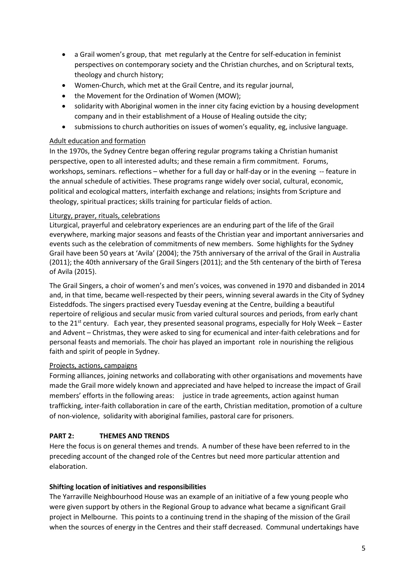- a Grail women's group, that met regularly at the Centre for self-education in feminist perspectives on contemporary society and the Christian churches, and on Scriptural texts, theology and church history;
- Women-Church, which met at the Grail Centre, and its regular journal,
- the Movement for the Ordination of Women (MOW);
- solidarity with Aboriginal women in the inner city facing eviction by a housing development company and in their establishment of a House of Healing outside the city;
- submissions to church authorities on issues of women's equality, eg, inclusive language.

### Adult education and formation

In the 1970s, the Sydney Centre began offering regular programs taking a Christian humanist perspective, open to all interested adults; and these remain a firm commitment. Forums, workshops, seminars. reflections – whether for a full day or half-day or in the evening -- feature in the annual schedule of activities. These programs range widely over social, cultural, economic, political and ecological matters, interfaith exchange and relations; insights from Scripture and theology, spiritual practices; skills training for particular fields of action.

### Liturgy, prayer, rituals, celebrations

Liturgical, prayerful and celebratory experiences are an enduring part of the life of the Grail everywhere, marking major seasons and feasts of the Christian year and important anniversaries and events such as the celebration of commitments of new members. Some highlights for the Sydney Grail have been 50 years at 'Avila' (2004); the 75th anniversary of the arrival of the Grail in Australia (2011}; the 40th anniversary of the Grail Singers (2011); and the 5th centenary of the birth of Teresa of Avila (2015).

The Grail Singers, a choir of women's and men's voices, was convened in 1970 and disbanded in 2014 and, in that time, became well-respected by their peers, winning several awards in the City of Sydney Eisteddfods. The singers practised every Tuesday evening at the Centre, building a beautiful repertoire of religious and secular music from varied cultural sources and periods, from early chant to the 21<sup>st</sup> century. Each year, they presented seasonal programs, especially for Holy Week – Easter and Advent – Christmas, they were asked to sing for ecumenical and inter-faith celebrations and for personal feasts and memorials. The choir has played an important role in nourishing the religious faith and spirit of people in Sydney.

#### Projects, actions, campaigns

Forming alliances, joining networks and collaborating with other organisations and movements have made the Grail more widely known and appreciated and have helped to increase the impact of Grail members' efforts in the following areas: justice in trade agreements, action against human trafficking, inter-faith collaboration in care of the earth, Christian meditation, promotion of a culture of non-violence, solidarity with aboriginal families, pastoral care for prisoners.

# **PART 2: THEMES AND TRENDS**

Here the focus is on general themes and trends. A number of these have been referred to in the preceding account of the changed role of the Centres but need more particular attention and elaboration.

#### **Shifting location of initiatives and responsibilities**

The Yarraville Neighbourhood House was an example of an initiative of a few young people who were given support by others in the Regional Group to advance what became a significant Grail project in Melbourne. This points to a continuing trend in the shaping of the mission of the Grail when the sources of energy in the Centres and their staff decreased. Communal undertakings have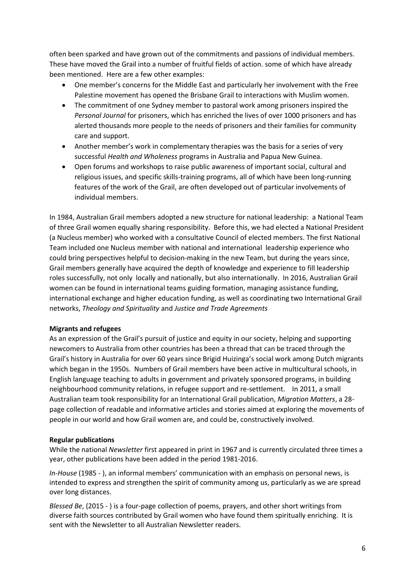often been sparked and have grown out of the commitments and passions of individual members. These have moved the Grail into a number of fruitful fields of action. some of which have already been mentioned. Here are a few other examples:

- One member's concerns for the Middle East and particularly her involvement with the Free Palestine movement has opened the Brisbane Grail to interactions with Muslim women.
- The commitment of one Sydney member to pastoral work among prisoners inspired the *Personal Journal* for prisoners, which has enriched the lives of over 1000 prisoners and has alerted thousands more people to the needs of prisoners and their families for community care and support.
- Another member's work in complementary therapies was the basis for a series of very successful *Health and Wholeness* programs in Australia and Papua New Guinea.
- Open forums and workshops to raise public awareness of important social, cultural and religious issues, and specific skills-training programs, all of which have been long-running features of the work of the Grail, are often developed out of particular involvements of individual members.

In 1984, Australian Grail members adopted a new structure for national leadership: a National Team of three Grail women equally sharing responsibility. Before this, we had elected a National President (a Nucleus member) who worked with a consultative Council of elected members. The first National Team included one Nucleus member with national and international leadership experience who could bring perspectives helpful to decision-making in the new Team, but during the years since, Grail members generally have acquired the depth of knowledge and experience to fill leadership roles successfully, not only locally and nationally, but also internationally. In 2016, Australian Grail women can be found in international teams guiding formation, managing assistance funding, international exchange and higher education funding, as well as coordinating two International Grail networks, *Theology and Spirituality* and *Justice and Trade Agreements*

# **Migrants and refugees**

As an expression of the Grail's pursuit of justice and equity in our society, helping and supporting newcomers to Australia from other countries has been a thread that can be traced through the Grail's history in Australia for over 60 years since Brigid Huizinga's social work among Dutch migrants which began in the 1950s. Numbers of Grail members have been active in multicultural schools, in English language teaching to adults in government and privately sponsored programs, in building neighbourhood community relations, in refugee support and re-settlement. In 2011, a small Australian team took responsibility for an International Grail publication, *Migration Matters*, a 28 page collection of readable and informative articles and stories aimed at exploring the movements of people in our world and how Grail women are, and could be, constructively involved.

#### **Regular publications**

While the national *Newsletter* first appeared in print in 1967 and is currently circulated three times a year, other publications have been added in the period 1981-2016.

*In-House* (1985 - ), an informal members' communication with an emphasis on personal news, is intended to express and strengthen the spirit of community among us, particularly as we are spread over long distances.

*Blessed Be*, (2015 - ) is a four-page collection of poems, prayers, and other short writings from diverse faith sources contributed by Grail women who have found them spiritually enriching. It is sent with the Newsletter to all Australian Newsletter readers.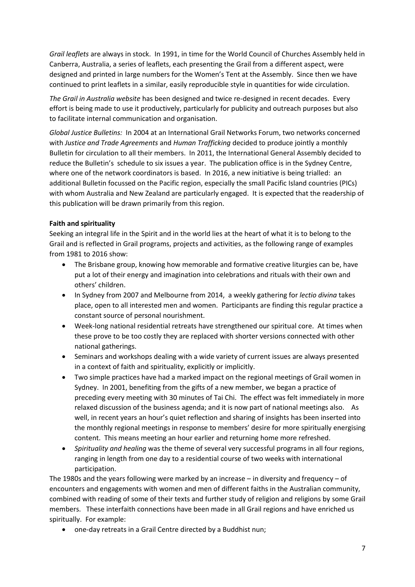*Grail leaflets* are always in stock. In 1991, in time for the World Council of Churches Assembly held in Canberra, Australia, a series of leaflets, each presenting the Grail from a different aspect, were designed and printed in large numbers for the Women's Tent at the Assembly. Since then we have continued to print leaflets in a similar, easily reproducible style in quantities for wide circulation.

*The Grail in Australia website* has been designed and twice re-designed in recent decades. Every effort is being made to use it productively, particularly for publicity and outreach purposes but also to facilitate internal communication and organisation.

*Global Justice Bulletins:* In 2004 at an International Grail Networks Forum, two networks concerned with *Justice and Trade Agreements* and *Human Trafficking* decided to produce jointly a monthly Bulletin for circulation to all their members. In 2011, the International General Assembly decided to reduce the Bulletin's schedule to six issues a year. The publication office is in the Sydney Centre, where one of the network coordinators is based. In 2016, a new initiative is being trialled: an additional Bulletin focussed on the Pacific region, especially the small Pacific Island countries (PICs) with whom Australia and New Zealand are particularly engaged. It is expected that the readership of this publication will be drawn primarily from this region.

# **Faith and spirituality**

Seeking an integral life in the Spirit and in the world lies at the heart of what it is to belong to the Grail and is reflected in Grail programs, projects and activities, as the following range of examples from 1981 to 2016 show:

- The Brisbane group, knowing how memorable and formative creative liturgies can be, have put a lot of their energy and imagination into celebrations and rituals with their own and others' children.
- In Sydney from 2007 and Melbourne from 2014, a weekly gathering for *lectio divina* takes place, open to all interested men and women. Participants are finding this regular practice a constant source of personal nourishment.
- Week-long national residential retreats have strengthened our spiritual core. At times when these prove to be too costly they are replaced with shorter versions connected with other national gatherings.
- Seminars and workshops dealing with a wide variety of current issues are always presented in a context of faith and spirituality, explicitly or implicitly.
- Two simple practices have had a marked impact on the regional meetings of Grail women in Sydney. In 2001, benefiting from the gifts of a new member, we began a practice of preceding every meeting with 30 minutes of Tai Chi. The effect was felt immediately in more relaxed discussion of the business agenda; and it is now part of national meetings also. As well, in recent years an hour's quiet reflection and sharing of insights has been inserted into the monthly regional meetings in response to members' desire for more spiritually energising content. This means meeting an hour earlier and returning home more refreshed.
- *Spirituality and healing* was the theme of several very successful programs in all four regions, ranging in length from one day to a residential course of two weeks with international participation.

The 1980s and the years following were marked by an increase – in diversity and frequency – of encounters and engagements with women and men of different faiths in the Australian community, combined with reading of some of their texts and further study of religion and religions by some Grail members. These interfaith connections have been made in all Grail regions and have enriched us spiritually. For example:

one-day retreats in a Grail Centre directed by a Buddhist nun;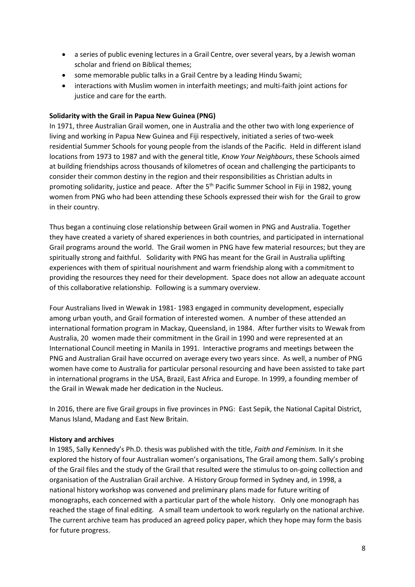- a series of public evening lectures in a Grail Centre, over several years, by a Jewish woman scholar and friend on Biblical themes;
- some memorable public talks in a Grail Centre by a leading Hindu Swami;
- interactions with Muslim women in interfaith meetings; and multi-faith joint actions for justice and care for the earth.

### **Solidarity with the Grail in Papua New Guinea (PNG)**

In 1971, three Australian Grail women, one in Australia and the other two with long experience of living and working in Papua New Guinea and Fiji respectively, initiated a series of two-week residential Summer Schools for young people from the islands of the Pacific. Held in different island locations from 1973 to 1987 and with the general title, *Know Your Neighbours*, these Schools aimed at building friendships across thousands of kilometres of ocean and challenging the participants to consider their common destiny in the region and their responsibilities as Christian adults in promoting solidarity, justice and peace. After the 5<sup>th</sup> Pacific Summer School in Fiji in 1982, young women from PNG who had been attending these Schools expressed their wish for the Grail to grow in their country.

Thus began a continuing close relationship between Grail women in PNG and Australia. Together they have created a variety of shared experiences in both countries, and participated in international Grail programs around the world. The Grail women in PNG have few material resources; but they are spiritually strong and faithful. Solidarity with PNG has meant for the Grail in Australia uplifting experiences with them of spiritual nourishment and warm friendship along with a commitment to providing the resources they need for their development. Space does not allow an adequate account of this collaborative relationship. Following is a summary overview.

Four Australians lived in Wewak in 1981- 1983 engaged in community development, especially among urban youth, and Grail formation of interested women. A number of these attended an international formation program in Mackay, Queensland, in 1984. After further visits to Wewak from Australia, 20 women made their commitment in the Grail in 1990 and were represented at an International Council meeting in Manila in 1991. Interactive programs and meetings between the PNG and Australian Grail have occurred on average every two years since. As well, a number of PNG women have come to Australia for particular personal resourcing and have been assisted to take part in international programs in the USA, Brazil, East Africa and Europe. In 1999, a founding member of the Grail in Wewak made her dedication in the Nucleus.

In 2016, there are five Grail groups in five provinces in PNG: East Sepik, the National Capital District, Manus Island, Madang and East New Britain.

#### **History and archives**

In 1985, Sally Kennedy's Ph.D. thesis was published with the title, *Faith and Feminism.* In it she explored the history of four Australian women's organisations, The Grail among them. Sally's probing of the Grail files and the study of the Grail that resulted were the stimulus to on-going collection and organisation of the Australian Grail archive. A History Group formed in Sydney and, in 1998, a national history workshop was convened and preliminary plans made for future writing of monographs, each concerned with a particular part of the whole history. Only one monograph has reached the stage of final editing. A small team undertook to work regularly on the national archive. The current archive team has produced an agreed policy paper, which they hope may form the basis for future progress.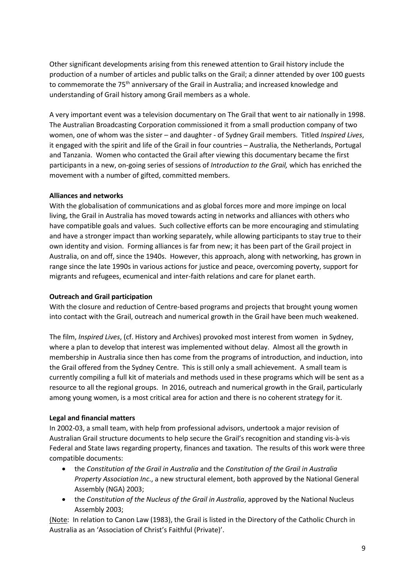Other significant developments arising from this renewed attention to Grail history include the production of a number of articles and public talks on the Grail; a dinner attended by over 100 guests to commemorate the 75<sup>th</sup> anniversary of the Grail in Australia; and increased knowledge and understanding of Grail history among Grail members as a whole.

A very important event was a television documentary on The Grail that went to air nationally in 1998. The Australian Broadcasting Corporation commissioned it from a small production company of two women, one of whom was the sister – and daughter - of Sydney Grail members. Titled *Inspired Lives*, it engaged with the spirit and life of the Grail in four countries – Australia, the Netherlands, Portugal and Tanzania. Women who contacted the Grail after viewing this documentary became the first participants in a new, on-going series of sessions of *Introduction to the Grail,* which has enriched the movement with a number of gifted, committed members.

### **Alliances and networks**

With the globalisation of communications and as global forces more and more impinge on local living, the Grail in Australia has moved towards acting in networks and alliances with others who have compatible goals and values. Such collective efforts can be more encouraging and stimulating and have a stronger impact than working separately, while allowing participants to stay true to their own identity and vision. Forming alliances is far from new; it has been part of the Grail project in Australia, on and off, since the 1940s. However, this approach, along with networking, has grown in range since the late 1990s in various actions for justice and peace, overcoming poverty, support for migrants and refugees, ecumenical and inter-faith relations and care for planet earth.

### **Outreach and Grail participation**

With the closure and reduction of Centre-based programs and projects that brought young women into contact with the Grail, outreach and numerical growth in the Grail have been much weakened.

The film, *Inspired Lives*, (cf. History and Archives) provoked most interest from women in Sydney, where a plan to develop that interest was implemented without delay. Almost all the growth in membership in Australia since then has come from the programs of introduction, and induction, into the Grail offered from the Sydney Centre. This is still only a small achievement. A small team is currently compiling a full kit of materials and methods used in these programs which will be sent as a resource to all the regional groups. In 2016, outreach and numerical growth in the Grail, particularly among young women, is a most critical area for action and there is no coherent strategy for it.

# **Legal and financial matters**

In 2002-03, a small team, with help from professional advisors, undertook a major revision of Australian Grail structure documents to help secure the Grail's recognition and standing vis-à-vis Federal and State laws regarding property, finances and taxation. The results of this work were three compatible documents:

- the *Constitution of the Grail in Australia* and the *Constitution of the Grail in Australia Property Association Inc*., a new structural element, both approved by the National General Assembly (NGA) 2003;
- the *Constitution of the Nucleus of the Grail in Australia*, approved by the National Nucleus Assembly 2003;

(Note: In relation to Canon Law (1983), the Grail is listed in the Directory of the Catholic Church in Australia as an 'Association of Christ's Faithful (Private)'.